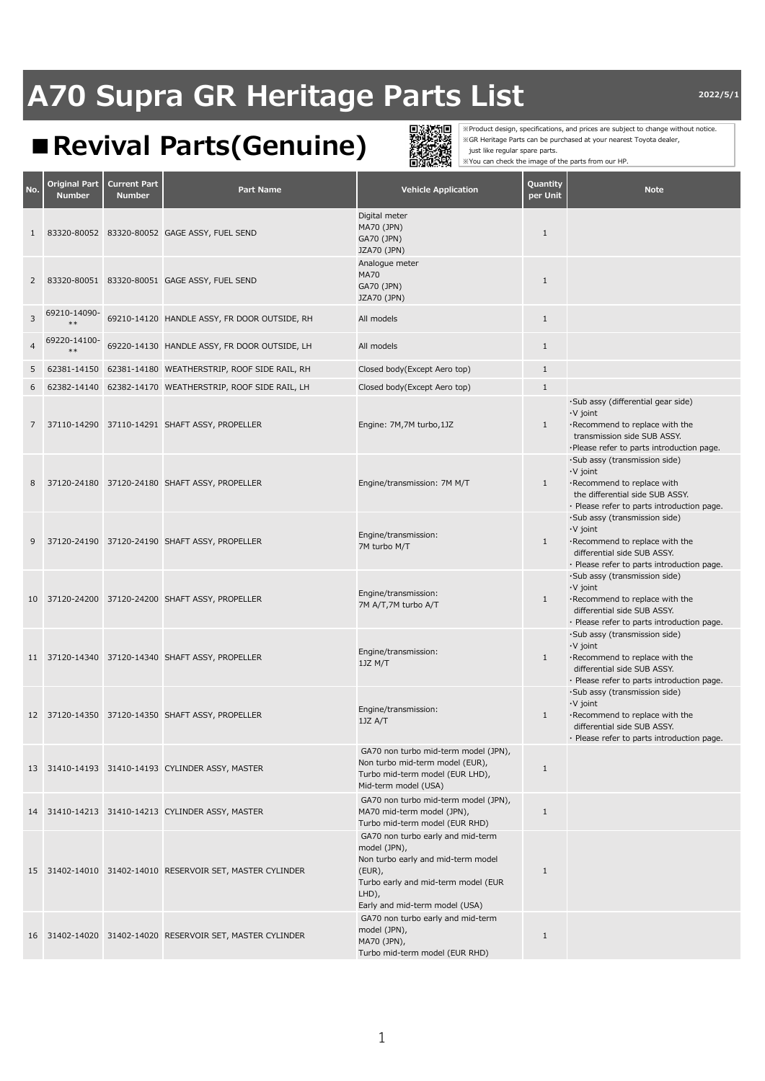## **■Revival Parts(Genuine)**



※Product design, specifications, and prices are subject to change without notice. ※GR Heritage Parts can be purchased at your nearest Toyota dealer, just like regular spare parts. ※You can check the image of the parts from our HP.

| No.            | Original Part<br><b>Number</b> | <b>Current Part</b><br><b>Number</b> | <b>Part Name</b>                                             | <b>Vehicle Application</b>                                                                                                                                                             | Quantity<br>per Unit | <b>Note</b>                                                                                                                                                     |
|----------------|--------------------------------|--------------------------------------|--------------------------------------------------------------|----------------------------------------------------------------------------------------------------------------------------------------------------------------------------------------|----------------------|-----------------------------------------------------------------------------------------------------------------------------------------------------------------|
| $\mathbf{1}$   |                                |                                      | 83320-80052 83320-80052 GAGE ASSY, FUEL SEND                 | Digital meter<br>MA70 (JPN)<br>GA70 (JPN)<br>JZA70 (JPN)                                                                                                                               | $\mathbf{1}$         |                                                                                                                                                                 |
| $\overline{2}$ |                                |                                      | 83320-80051 83320-80051 GAGE ASSY, FUEL SEND                 | Analogue meter<br><b>MA70</b><br>GA70 (JPN)<br>JZA70 (JPN)                                                                                                                             | $\mathbf{1}$         |                                                                                                                                                                 |
| 3              | 69210-14090-<br>$**$           |                                      | 69210-14120 HANDLE ASSY, FR DOOR OUTSIDE, RH                 | All models                                                                                                                                                                             | $\mathbf{1}$         |                                                                                                                                                                 |
| $\overline{4}$ | 69220-14100-<br>$**$           |                                      | 69220-14130 HANDLE ASSY, FR DOOR OUTSIDE, LH                 | All models                                                                                                                                                                             | $\mathbf{1}$         |                                                                                                                                                                 |
| 5              |                                |                                      | 62381-14150   62381-14180   WEATHERSTRIP, ROOF SIDE RAIL, RH | Closed body(Except Aero top)                                                                                                                                                           | $\mathbf{1}$         |                                                                                                                                                                 |
| 6              |                                |                                      | 62382-14140   62382-14170   WEATHERSTRIP, ROOF SIDE RAIL, LH | Closed body(Except Aero top)                                                                                                                                                           | $\mathbf{1}$         |                                                                                                                                                                 |
| 7              |                                |                                      | 37110-14290 37110-14291 SHAFT ASSY, PROPELLER                | Engine: 7M,7M turbo,1JZ                                                                                                                                                                | $\mathbf{1}$         | ·Sub assy (differential gear side)<br>·V joint<br>Recommend to replace with the<br>transmission side SUB ASSY.<br>·Please refer to parts introduction page.     |
| 8              |                                |                                      | 37120-24180 37120-24180 SHAFT ASSY, PROPELLER                | Engine/transmission: 7M M/T                                                                                                                                                            | $\mathbf{1}$         | ·Sub assy (transmission side)<br>·V joint<br>·Recommend to replace with<br>the differential side SUB ASSY.<br>· Please refer to parts introduction page.        |
| 9              |                                |                                      | 37120-24190 37120-24190 SHAFT ASSY, PROPELLER                | Engine/transmission:<br>7M turbo M/T                                                                                                                                                   | $\mathbf{1}$         | ·Sub assy (transmission side)<br>$\cdot$ V joint<br>·Recommend to replace with the<br>differential side SUB ASSY.<br>· Please refer to parts introduction page. |
|                |                                |                                      | 10 37120-24200 37120-24200 SHAFT ASSY, PROPELLER             | Engine/transmission:<br>7M A/T,7M turbo A/T                                                                                                                                            | $\mathbf{1}$         | ·Sub assy (transmission side)<br>$\cdot$ V joint<br>·Recommend to replace with the<br>differential side SUB ASSY.<br>· Please refer to parts introduction page. |
|                |                                |                                      | 11 37120-14340 37120-14340 SHAFT ASSY, PROPELLER             | Engine/transmission:<br>1JZ M/T                                                                                                                                                        | 1                    | ·Sub assy (transmission side)<br>$\cdot$ V joint<br>·Recommend to replace with the<br>differential side SUB ASSY.<br>· Please refer to parts introduction page. |
|                |                                |                                      | 12 37120-14350 37120-14350 SHAFT ASSY, PROPELLER             | Engine/transmission:<br>1JZ A/T                                                                                                                                                        | $\mathbf{1}$         | ·Sub assy (transmission side)<br>$\cdot$ V joint<br>·Recommend to replace with the<br>differential side SUB ASSY.<br>· Please refer to parts introduction page. |
|                |                                |                                      | 13 31410-14193 31410-14193 CYLINDER ASSY, MASTER             | GA70 non turbo mid-term model (JPN),<br>Non turbo mid-term model (EUR),<br>Turbo mid-term model (EUR LHD),<br>Mid-term model (USA)                                                     | $\mathbf{1}$         |                                                                                                                                                                 |
|                |                                |                                      | 14 31410-14213 31410-14213 CYLINDER ASSY, MASTER             | GA70 non turbo mid-term model (JPN),<br>MA70 mid-term model (JPN),<br>Turbo mid-term model (EUR RHD)                                                                                   | $\mathbf{1}$         |                                                                                                                                                                 |
|                |                                |                                      | 15 31402-14010 31402-14010 RESERVOIR SET, MASTER CYLINDER    | GA70 non turbo early and mid-term<br>model (JPN),<br>Non turbo early and mid-term model<br>$(EUR)$ ,<br>Turbo early and mid-term model (EUR<br>LHD),<br>Early and mid-term model (USA) | $\mathbf{1}$         |                                                                                                                                                                 |
|                |                                |                                      | 16 31402-14020 31402-14020 RESERVOIR SET, MASTER CYLINDER    | GA70 non turbo early and mid-term<br>model (JPN),<br>MA70 (JPN),<br>Turbo mid-term model (EUR RHD)                                                                                     | $\mathbf{1}$         |                                                                                                                                                                 |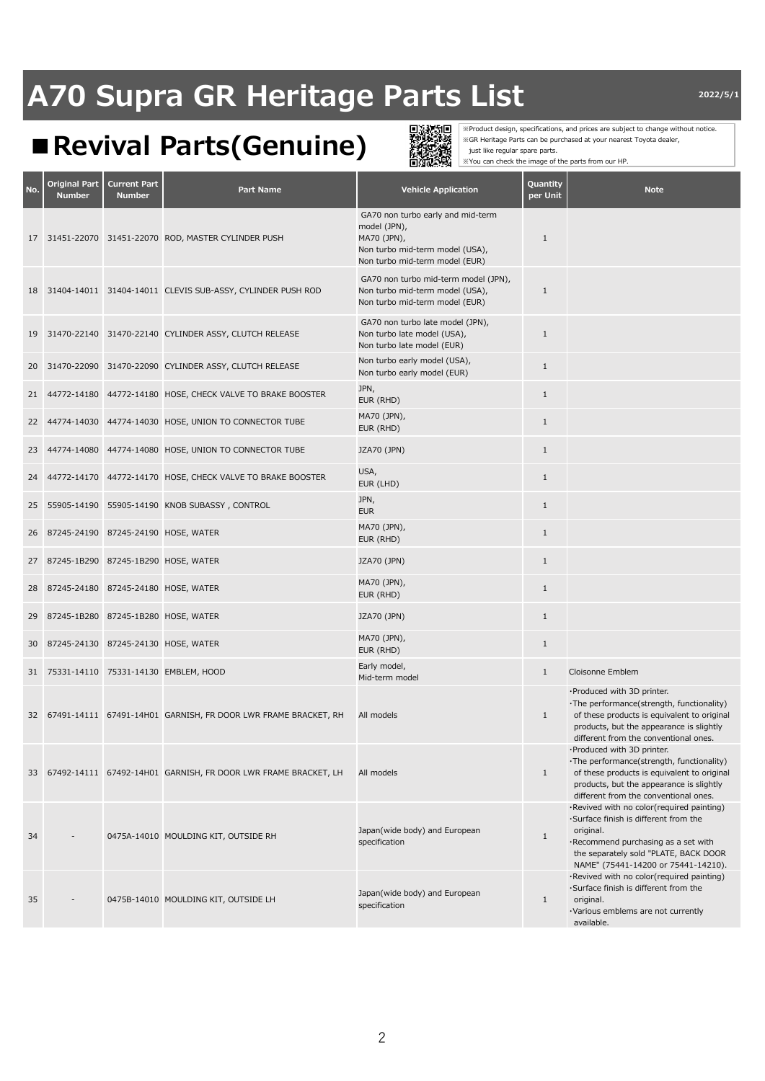## **■Revival Parts(Genuine)**



※Product design, specifications, and prices are subject to change without notice. ※GR Heritage Parts can be purchased at your nearest Toyota dealer, just like regular spare parts. ※You can check the image of the parts from our HP.

| No. | <b>Original Part</b><br><b>Number</b> | <b>Current Part</b><br><b>Number</b> | <b>Part Name</b>                                                  | <b>Vehicle Application</b>                                                                                                            | Quantity<br>per Unit | <b>Note</b>                                                                                                                                                                                                            |
|-----|---------------------------------------|--------------------------------------|-------------------------------------------------------------------|---------------------------------------------------------------------------------------------------------------------------------------|----------------------|------------------------------------------------------------------------------------------------------------------------------------------------------------------------------------------------------------------------|
| 17  |                                       |                                      | 31451-22070 31451-22070 ROD, MASTER CYLINDER PUSH                 | GA70 non turbo early and mid-term<br>model (JPN),<br>MA70 (JPN),<br>Non turbo mid-term model (USA),<br>Non turbo mid-term model (EUR) | $\mathbf{1}$         |                                                                                                                                                                                                                        |
|     |                                       |                                      | 18 31404-14011 31404-14011 CLEVIS SUB-ASSY, CYLINDER PUSH ROD     | GA70 non turbo mid-term model (JPN),<br>Non turbo mid-term model (USA),<br>Non turbo mid-term model (EUR)                             | $\mathbf{1}$         |                                                                                                                                                                                                                        |
| 19  |                                       |                                      | 31470-22140 31470-22140 CYLINDER ASSY, CLUTCH RELEASE             | GA70 non turbo late model (JPN),<br>Non turbo late model (USA),<br>Non turbo late model (EUR)                                         | 1                    |                                                                                                                                                                                                                        |
| 20  |                                       |                                      | 31470-22090 31470-22090 CYLINDER ASSY, CLUTCH RELEASE             | Non turbo early model (USA),<br>Non turbo early model (EUR)                                                                           | $\mathbf{1}$         |                                                                                                                                                                                                                        |
| 21  |                                       |                                      | 44772-14180 44772-14180 HOSE, CHECK VALVE TO BRAKE BOOSTER        | JPN,<br>EUR (RHD)                                                                                                                     | $\mathbf{1}$         |                                                                                                                                                                                                                        |
| 22  |                                       |                                      | 44774-14030 44774-14030 HOSE, UNION TO CONNECTOR TUBE             | MA70 (JPN),<br>EUR (RHD)                                                                                                              | $\mathbf{1}$         |                                                                                                                                                                                                                        |
| 23  |                                       |                                      | 44774-14080 44774-14080 HOSE, UNION TO CONNECTOR TUBE             | JZA70 (JPN)                                                                                                                           | $\mathbf{1}$         |                                                                                                                                                                                                                        |
| 24  |                                       |                                      | 44772-14170 44772-14170 HOSE, CHECK VALVE TO BRAKE BOOSTER        | USA,<br>EUR (LHD)                                                                                                                     | $\mathbf{1}$         |                                                                                                                                                                                                                        |
| 25  |                                       |                                      | 55905-14190    55905-14190    KNOB SUBASSY, CONTROL               | JPN,<br><b>EUR</b>                                                                                                                    | $\mathbf{1}$         |                                                                                                                                                                                                                        |
| 26  |                                       |                                      | 87245-24190 87245-24190 HOSE, WATER                               | MA70 (JPN),<br>EUR (RHD)                                                                                                              | $\mathbf{1}$         |                                                                                                                                                                                                                        |
| 27  | 87245-1B290 87245-1B290 HOSE, WATER   |                                      |                                                                   | JZA70 (JPN)                                                                                                                           | $\mathbf{1}$         |                                                                                                                                                                                                                        |
| 28  |                                       |                                      | 87245-24180 87245-24180 HOSE, WATER                               | MA70 (JPN),<br>EUR (RHD)                                                                                                              | $\mathbf{1}$         |                                                                                                                                                                                                                        |
| 29  |                                       |                                      | 87245-1B280 87245-1B280 HOSE, WATER                               | JZA70 (JPN)                                                                                                                           | $\mathbf{1}$         |                                                                                                                                                                                                                        |
| 30  |                                       |                                      | 87245-24130 87245-24130 HOSE, WATER                               | MA70 (JPN),<br>EUR (RHD)                                                                                                              | $\mathbf{1}$         |                                                                                                                                                                                                                        |
| 31  |                                       |                                      | 75331-14110 75331-14130 EMBLEM, HOOD                              | Early model,<br>Mid-term model                                                                                                        | $\mathbf{1}$         | Cloisonne Emblem                                                                                                                                                                                                       |
|     |                                       |                                      | 32 67491-14111 67491-14H01 GARNISH, FR DOOR LWR FRAME BRACKET, RH | All models                                                                                                                            | $\mathbf{1}$         | ·Produced with 3D printer.<br>·The performance(strength, functionality)<br>of these products is equivalent to original<br>products, but the appearance is slightly<br>different from the conventional ones.            |
|     |                                       |                                      | 33 67492-14111 67492-14H01 GARNISH, FR DOOR LWR FRAME BRACKET, LH | All models                                                                                                                            | $\mathbf{1}$         | ·Produced with 3D printer.<br>·The performance(strength, functionality)<br>of these products is equivalent to original<br>products, but the appearance is slightly<br>different from the conventional ones.            |
| 34  |                                       |                                      | 0475A-14010 MOULDING KIT, OUTSIDE RH                              | Japan(wide body) and European<br>specification                                                                                        | $\mathbf{1}$         | ·Revived with no color(required painting)<br>·Surface finish is different from the<br>original.<br>·Recommend purchasing as a set with<br>the separately sold "PLATE, BACK DOOR<br>NAME" (75441-14200 or 75441-14210). |
| 35  |                                       |                                      | 0475B-14010 MOULDING KIT, OUTSIDE LH                              | Japan(wide body) and European<br>specification                                                                                        | $\mathbf{1}$         | ·Revived with no color(required painting)<br>Surface finish is different from the<br>original.<br>·Various emblems are not currently<br>available.                                                                     |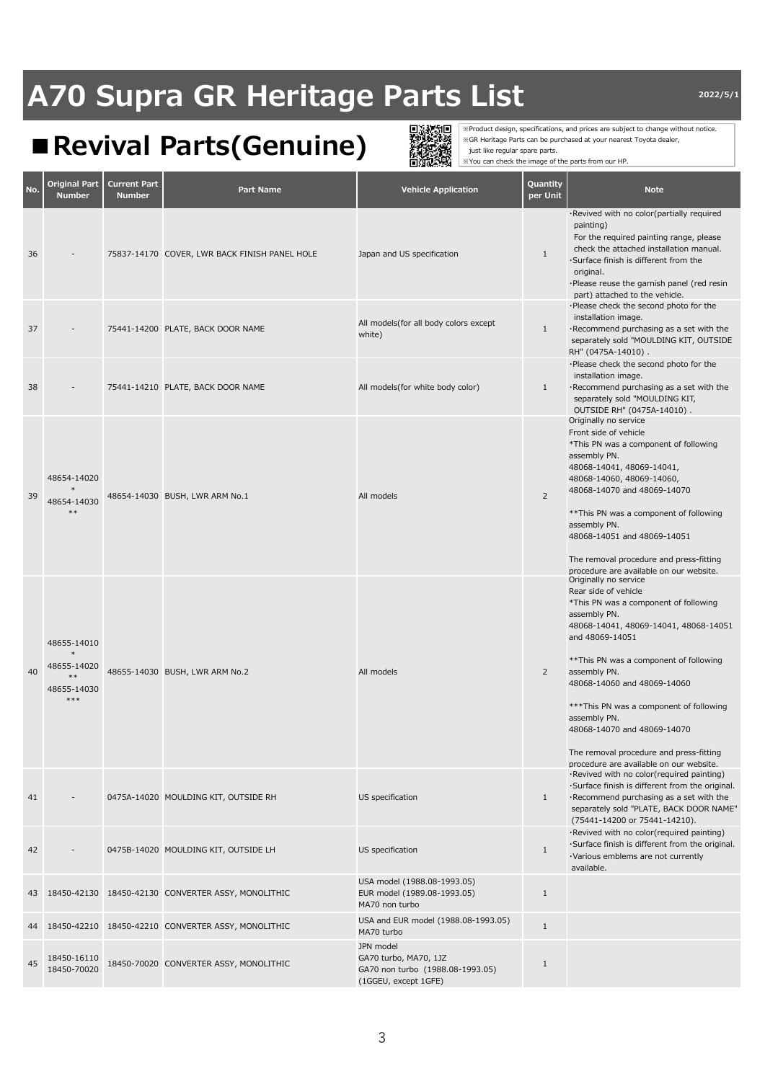## **■Revival Parts(Genuine)**



※Product design, specifications, and prices are subject to change without notice. ※GR Heritage Parts can be purchased at your nearest Toyota dealer, just like regular spare parts. ※You can check the image of the parts from our HP.

| No. | Original Part<br><b>Number</b>                                       | <b>Current Part</b><br><b>Number</b> | Part Name                                             | <b>Vehicle Application</b>                                                                     | Quantity<br>per Unit | <b>Note</b>                                                                                                                                                                                                                                                                                                                                                                                                                                   |
|-----|----------------------------------------------------------------------|--------------------------------------|-------------------------------------------------------|------------------------------------------------------------------------------------------------|----------------------|-----------------------------------------------------------------------------------------------------------------------------------------------------------------------------------------------------------------------------------------------------------------------------------------------------------------------------------------------------------------------------------------------------------------------------------------------|
| 36  |                                                                      |                                      | 75837-14170 COVER, LWR BACK FINISH PANEL HOLE         | Japan and US specification                                                                     | $\mathbf{1}$         | ·Revived with no color(partially required<br>painting)<br>For the required painting range, please<br>check the attached installation manual.<br>·Surface finish is different from the<br>original.<br>·Please reuse the garnish panel (red resin<br>part) attached to the vehicle.                                                                                                                                                            |
| 37  |                                                                      |                                      | 75441-14200 PLATE, BACK DOOR NAME                     | All models(for all body colors except<br>white)                                                | $\mathbf{1}$         | ·Please check the second photo for the<br>installation image.<br>·Recommend purchasing as a set with the<br>separately sold "MOULDING KIT, OUTSIDE<br>RH" (0475A-14010).                                                                                                                                                                                                                                                                      |
| 38  |                                                                      |                                      | 75441-14210 PLATE, BACK DOOR NAME                     | All models(for white body color)                                                               | $\mathbf{1}$         | ·Please check the second photo for the<br>installation image.<br>·Recommend purchasing as a set with the<br>separately sold "MOULDING KIT,<br>OUTSIDE RH" (0475A-14010).                                                                                                                                                                                                                                                                      |
| 39  | 48654-14020<br>48654-14030<br>$***$                                  |                                      | 48654-14030 BUSH, LWR ARM No.1                        | All models                                                                                     | $\overline{2}$       | Originally no service<br>Front side of vehicle<br>*This PN was a component of following<br>assembly PN.<br>48068-14041, 48069-14041,<br>48068-14060, 48069-14060,<br>48068-14070 and 48069-14070<br>** This PN was a component of following<br>assembly PN.<br>48068-14051 and 48069-14051<br>The removal procedure and press-fitting<br>procedure are available on our website.                                                              |
| 40  | 48655-14010<br>$\ast$<br>48655-14020<br>$**$<br>48655-14030<br>$***$ |                                      | 48655-14030 BUSH, LWR ARM No.2                        | All models                                                                                     | $\overline{2}$       | Originally no service<br>Rear side of vehicle<br>*This PN was a component of following<br>assembly PN.<br>48068-14041, 48069-14041, 48068-14051<br>and 48069-14051<br>** This PN was a component of following<br>assembly PN.<br>48068-14060 and 48069-14060<br>*** This PN was a component of following<br>assembly PN.<br>48068-14070 and 48069-14070<br>The removal procedure and press-fitting<br>procedure are available on our website. |
| 41  |                                                                      |                                      | 0475A-14020 MOULDING KIT, OUTSIDE RH                  | US specification                                                                               | $\mathbf{1}$         | ·Revived with no color(required painting)<br>·Surface finish is different from the original.<br>·Recommend purchasing as a set with the<br>separately sold "PLATE, BACK DOOR NAME'<br>(75441-14200 or 75441-14210).                                                                                                                                                                                                                           |
| 42  |                                                                      |                                      | 0475B-14020 MOULDING KIT, OUTSIDE LH                  | US specification                                                                               | $\mathbf{1}$         | ·Revived with no color(required painting)<br>·Surface finish is different from the original.<br>·Various emblems are not currently<br>available.                                                                                                                                                                                                                                                                                              |
|     |                                                                      |                                      | 43 18450-42130 18450-42130 CONVERTER ASSY, MONOLITHIC | USA model (1988.08-1993.05)<br>EUR model (1989.08-1993.05)<br>MA70 non turbo                   | $\mathbf{1}$         |                                                                                                                                                                                                                                                                                                                                                                                                                                               |
| 44  |                                                                      |                                      | 18450-42210 18450-42210 CONVERTER ASSY, MONOLITHIC    | USA and EUR model (1988.08-1993.05)<br>MA70 turbo                                              | $1\,$                |                                                                                                                                                                                                                                                                                                                                                                                                                                               |
| 45  | 18450-16110<br>18450-70020                                           |                                      | 18450-70020 CONVERTER ASSY, MONOLITHIC                | JPN model<br>GA70 turbo, MA70, 1JZ<br>GA70 non turbo (1988.08-1993.05)<br>(1GGEU, except 1GFE) | $\mathbf{1}$         |                                                                                                                                                                                                                                                                                                                                                                                                                                               |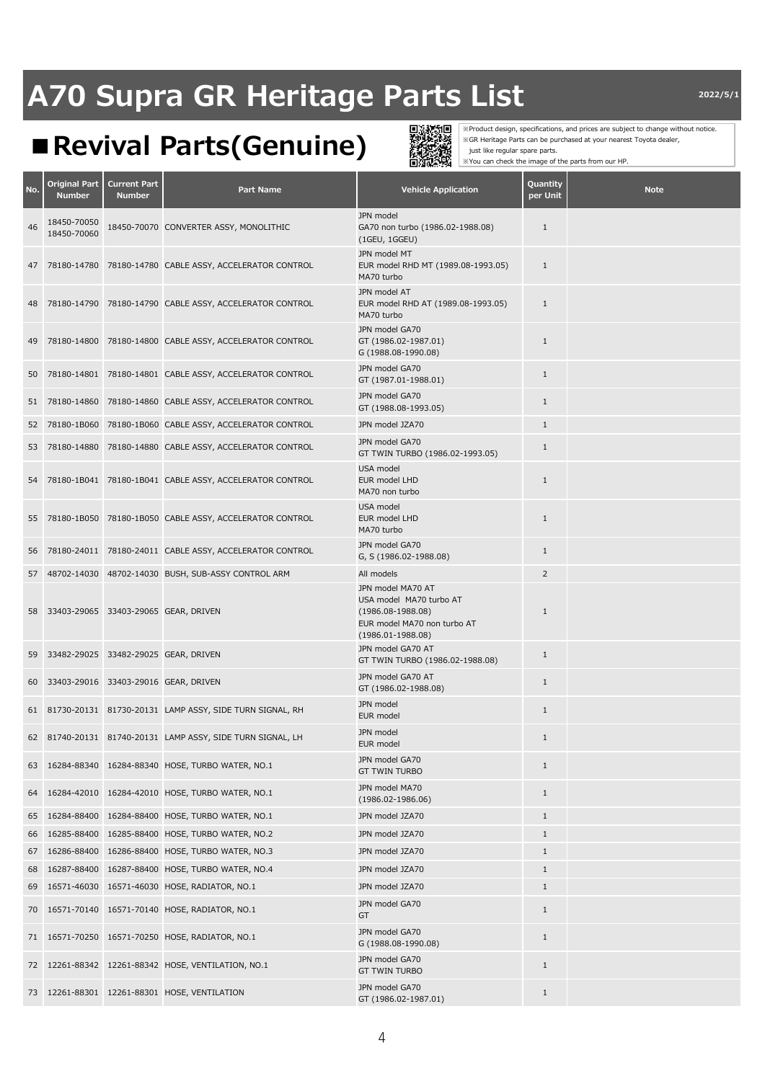### **■Revival Parts(Genuine)**



※Product design, specifications, and prices are subject to change without notice. ※GR Heritage Parts can be purchased at your nearest Toyota dealer, just like regular spare parts. ※You can check the image of the parts from our HP.

**No. Original Part Number Current Part Number Part Name Vehicle Application Quantity per Unit Note**<br> **per Unit** <sup>46</sup> 18450-70050 18450-70060 18450-70070 CONVERTER ASSY, MONOLITHIC JPN mode GA70 non turbo (1986.02-1988.08) (1GEU, 1GGEU) 1 47 78180-14780 78180-14780 CABLE ASSY, ACCELERATOR CONTROL JPN model MT EUR model RHD MT (1989.08-1993.05) MA70 turbo 1 48 78180-14790 78180-14790 CABLE ASSY, ACCELERATOR CONTROL JPN model AT EUR model RHD AT (1989.08-1993.05) MA70 turbo 1 49 78180-14800 78180-14800 CABLE ASSY, ACCELERATOR CONTROL JPN model GA70 GT (1986.02-1987.01) G (1988.08-1990.08) 1 50 78180-14801 78180-14801 CABLE ASSY, ACCELERATOR CONTROL JPN model GA70 GT (1987.01-1988.01) <sup>1</sup> <sup>51</sup> 78180-14860 78180-14860 CABLE ASSY, ACCELERATOR CONTROL JPN model GA70 GT (1988.08-1993.05) 1 52 78180-1B060 78180-1B060 CABLE ASSY, ACCELERATOR CONTROL JPN model JZA70 1 <sup>53</sup> 78180-14880 78180-14880 CABLE ASSY, ACCELERATOR CONTROL JPN model GA70 GT TWIN TURBO (1986.02-1993.05) 54 78180-1B041 78180-1B041 CABLE ASSY, ACCELERATOR CONTROL USA model EUR model LHD MA70 non turbo 1 55 78180-1B050 78180-1B050 CABLE ASSY, ACCELERATOR CONTROL USA model EUR model LHD MA70 turbo 1 <sup>56</sup> 78180-24011 78180-24011 CABLE ASSY, ACCELERATOR CONTROL JPN model GA70 G, S (1986.02-1988.08) 1 57 48702-14030 48702-14030 BUSH, SUB-ASSY CONTROL ARM All models 2 58 33403-29065 33403-29065 GEAR, DRIVEN JPN model MA70 AT USA model MA70 turbo AT (1986.08-1988.08) EUR model MA70 non turbo AT (1986.01-1988.08) 1 <sup>59</sup> 33482-29025 33482-29025 GEAR, DRIVEN JPN model GA70 AT GT TWIN TURBO (1986.02-1988.08) <sup>60</sup> 33403-29016 33403-29016 GEAR, DRIVEN JPN model GA70 AT GT (1986.02-1988.08) 1 51 81730-20131 81730-20131 LAMP ASSY, SIDE TURN SIGNAL, RH SEN MODEL<br>FUR model 1 52 81740-20131 81740-20131 LAMP ASSY, SIDE TURN SIGNAL, LH **EUR model** 1<br>EUR model 1 <sup>63</sup> 16284-88340 16284-88340 HOSE, TURBO WATER, NO.1 JPN model GA70 GT TWIN TURBO 1 <sup>64</sup> 16284-42010 16284-42010 HOSE, TURBO WATER, NO.1 JPN model MA70 (1986.02-1986.06) <sup>1</sup> 65 16284-88400 16284-88400 HOSE, TURBO WATER, NO.1 JPN model JZA70 1 66 16285-88400 16285-88400 HOSE, TURBO WATER, NO.2 JPN model JZA70 1 67 16286-88400 16286-88400 HOSE, TURBO WATER, NO.3 JPN model JZA70 1 68 16287-88400 16287-88400 HOSE, TURBO WATER, NO.4 JPN model JZA70 1 69 16571-46030 16571-46030 HOSE, RADIATOR, NO.1 JPN model JZA70 1 <sup>70</sup> 16571-70140 16571-70140 HOSE, RADIATOR, NO.1 JPN model GA70 GT 1 <sup>71</sup> 16571-70250 16571-70250 HOSE, RADIATOR, NO.1 JPN model GA70 G (1988.08-1990.08) 1 72 12261-88342 12261-88342 HOSE, VENTILATION, NO.1 GT TWIN TURBO 1 <sup>73</sup> 12261-88301 12261-88301 HOSE, VENTILATION JPN model GA70 GT (1986.02-1987.01) 1